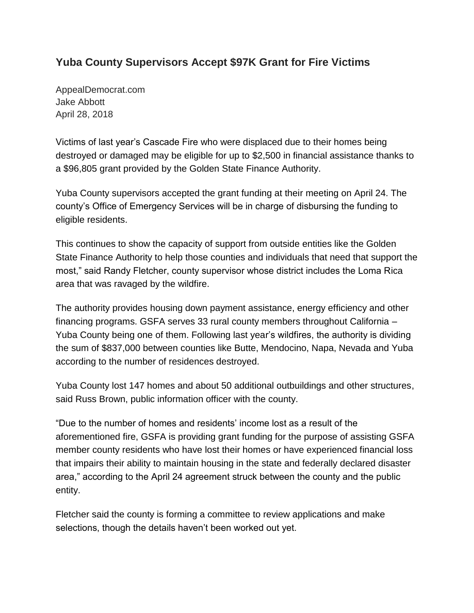## **Yuba County Supervisors Accept \$97K Grant for Fire Victims**

AppealDemocrat.com Jake Abbott April 28, 2018

Victims of last year's Cascade Fire who were displaced due to their homes being destroyed or damaged may be eligible for up to \$2,500 in financial assistance thanks to a \$96,805 grant provided by the Golden State Finance Authority.

Yuba County supervisors accepted the grant funding at their meeting on April 24. The county's Office of Emergency Services will be in charge of disbursing the funding to eligible residents.

This continues to show the capacity of support from outside entities like the Golden State Finance Authority to help those counties and individuals that need that support the most," said Randy Fletcher, county supervisor whose district includes the Loma Rica area that was ravaged by the wildfire.

The authority provides housing down payment assistance, energy efficiency and other financing programs. GSFA serves 33 rural county members throughout California – Yuba County being one of them. Following last year's wildfires, the authority is dividing the sum of \$837,000 between counties like Butte, Mendocino, Napa, Nevada and Yuba according to the number of residences destroyed.

Yuba County lost 147 homes and about 50 additional outbuildings and other structures, said Russ Brown, public information officer with the county.

"Due to the number of homes and residents' income lost as a result of the aforementioned fire, GSFA is providing grant funding for the purpose of assisting GSFA member county residents who have lost their homes or have experienced financial loss that impairs their ability to maintain housing in the state and federally declared disaster area," according to the April 24 agreement struck between the county and the public entity.

Fletcher said the county is forming a committee to review applications and make selections, though the details haven't been worked out yet.